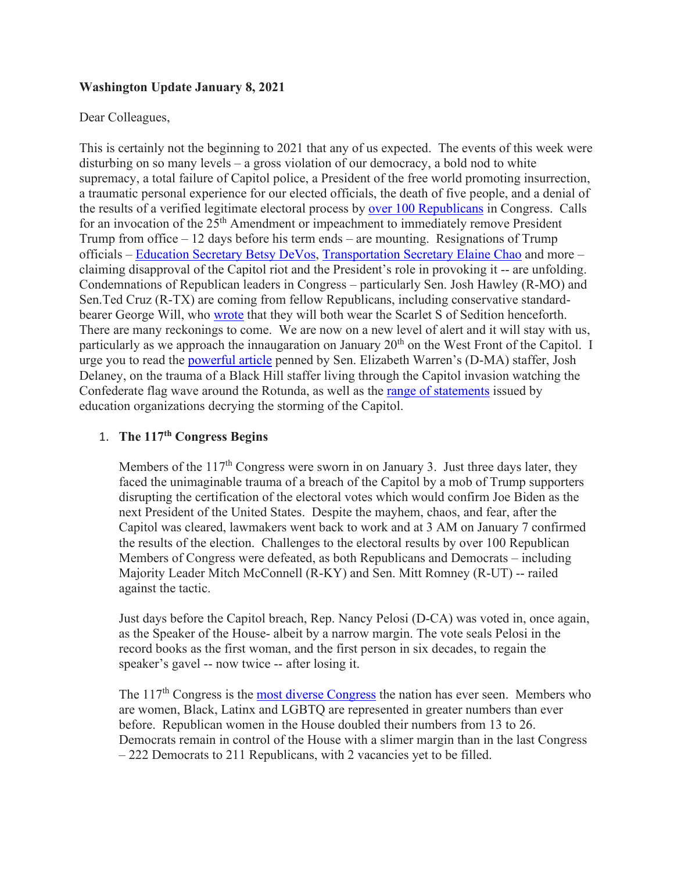## **Washington Update January 8, 2021**

### Dear Colleagues,

This is certainly not the beginning to 2021 that any of us expected. The events of this week were disturbing on so many levels – a gross violation of our democracy, a bold nod to white supremacy, a total failure of Capitol police, a President of the free world promoting insurrection, a traumatic personal experience for our elected officials, the death of five people, and a denial of the results of a verified legitimate electoral process by over 100 [Republicans](https://www.npr.org/sections/congress-electoral-college-tally-live-updates/2021/01/07/954380156/here-are-the-republicans-who-objected-to-the-electoral-college-count) in Congress. Calls for an invocation of the  $25<sup>th</sup>$  Amendment or impeachment to immediately remove President Trump from office  $-12$  days before his term ends  $-$  are mounting. Resignations of Trump officials – [Education Secretary Betsy DeVos,](https://static.politico.com/8b/7a/29084d4f45b89aa9e49f4ba01690/devos-letter.pdf) [Transportation Secretary Elaine Chao](https://www.washingtonpost.com/local/trafficandcommuting/elaine-chao-resigns/2021/01/07/7fcbe17a-511f-11eb-bda4-615aaefd0555_story.html) and more – claiming disapproval of the Capitol riot and the President's role in provoking it -- are unfolding. Condemnations of Republican leaders in Congress – particularly Sen. Josh Hawley (R-MO) and Sen.Ted Cruz (R-TX) are coming from fellow Republicans, including conservative standardbearer George Will, who [wrote](https://www.washingtonpost.com/opinions/trump-hawley-and-cruz-will-each-wear-the-scarlet-s-of-a-seditionist/2021/01/06/65b0ad1a-506c-11eb-bda4-615aaefd0555_story.html) that they will both wear the Scarlet S of Sedition henceforth. There are many reckonings to come. We are now on a new level of alert and it will stay with us, particularly as we approach the innaugaration on January  $20<sup>th</sup>$  on the West Front of the Capitol. I urge you to read the [powerful](https://www.bostonglobe.com/2021/01/07/opinion/horror-confederate-flag-us-capitol/) article penned by Sen. Elizabeth Warren's (D-MA) staffer, Josh Delaney, on the trauma of a Black Hill staffer living through the Capitol invasion watching the Confederate flag wave around the Rotunda, as well as the [range of statements](https://www.washingtonpost.com/education/2021/01/07/education-civil-rights-groups-blast-trump-inciting-violence/) issued by education organizations decrying the storming of the Capitol.

## 1. **The 117th Congress Begins**

Members of the  $117<sup>th</sup>$  Congress were sworn in on January 3. Just three days later, they faced the unimaginable trauma of a breach of the Capitol by a mob of Trump supporters disrupting the certification of the electoral votes which would confirm Joe Biden as the next President of the United States. Despite the mayhem, chaos, and fear, after the Capitol was cleared, lawmakers went back to work and at 3 AM on January 7 confirmed the results of the election. Challenges to the electoral results by over 100 Republican Members of Congress were defeated, as both Republicans and Democrats – including Majority Leader Mitch McConnell (R-KY) and Sen. Mitt Romney (R-UT) -- railed against the tactic.

Just days before the Capitol breach, Rep. Nancy Pelosi (D-CA) was voted in, once again, as the Speaker of the House- albeit by a narrow margin. The vote seals Pelosi in the record books as the first woman, and the first person in six decades, to regain the speaker's gavel -- now twice -- after losing it.

The  $117<sup>th</sup>$  Congress is the [most diverse Congress](https://www.cbs58.com/news/117th-congress-breaking-down-the-historic-numbers) the nation has ever seen. Members who are women, Black, Latinx and LGBTQ are represented in greater numbers than ever before. Republican women in the House doubled their numbers from 13 to 26. Democrats remain in control of the House with a slimer margin than in the last Congress – 222 Democrats to 211 Republicans, with 2 vacancies yet to be filled.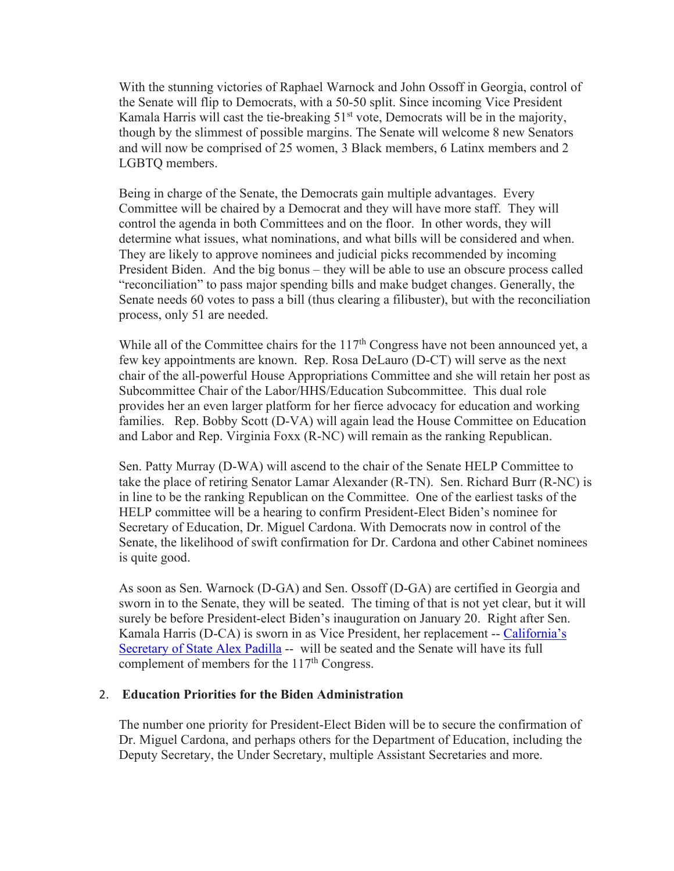With the stunning victories of Raphael Warnock and John Ossoff in Georgia, control of the Senate will flip to Democrats, with a 50-50 split. Since incoming Vice President Kamala Harris will cast the tie-breaking  $51<sup>st</sup>$  vote, Democrats will be in the majority, though by the slimmest of possible margins. The Senate will welcome 8 new Senators and will now be comprised of 25 women, 3 Black members, 6 Latinx members and 2 LGBTQ members.

Being in charge of the Senate, the Democrats gain multiple advantages. Every Committee will be chaired by a Democrat and they will have more staff. They will control the agenda in both Committees and on the floor. In other words, they will determine what issues, what nominations, and what bills will be considered and when. They are likely to approve nominees and judicial picks recommended by incoming President Biden. And the big bonus – they will be able to use an obscure process called "reconciliation" to pass major spending bills and make budget changes. Generally, the Senate needs 60 votes to pass a bill (thus clearing a filibuster), but with the reconciliation process, only 51 are needed.

While all of the Committee chairs for the  $117<sup>th</sup>$  Congress have not been announced yet, a few key appointments are known. Rep. Rosa DeLauro (D-CT) will serve as the next chair of the all-powerful House Appropriations Committee and she will retain her post as Subcommittee Chair of the Labor/HHS/Education Subcommittee. This dual role provides her an even larger platform for her fierce advocacy for education and working families. Rep. Bobby Scott (D-VA) will again lead the House Committee on Education and Labor and Rep. Virginia Foxx (R-NC) will remain as the ranking Republican.

Sen. Patty Murray (D-WA) will ascend to the chair of the Senate HELP Committee to take the place of retiring Senator Lamar Alexander (R-TN). Sen. Richard Burr (R-NC) is in line to be the ranking Republican on the Committee. One of the earliest tasks of the HELP committee will be a hearing to confirm President-Elect Biden's nominee for Secretary of Education, Dr. Miguel Cardona. With Democrats now in control of the Senate, the likelihood of swift confirmation for Dr. Cardona and other Cabinet nominees is quite good.

As soon as Sen. Warnock (D-GA) and Sen. Ossoff (D-GA) are certified in Georgia and sworn in to the Senate, they will be seated. The timing of that is not yet clear, but it will surely be before President-elect Biden's inauguration on January 20. Right after Sen. Kamala Harris (D-CA) is sworn in as Vice President, her replacement -- [California's](https://www.nytimes.com/2020/12/22/us/politics/alex-padilla-kamala-california-senate.html)  [Secretary of State Alex Padilla](https://www.nytimes.com/2020/12/22/us/politics/alex-padilla-kamala-california-senate.html) -- will be seated and the Senate will have its full complement of members for the 117<sup>th</sup> Congress.

#### 2. **Education Priorities for the Biden Administration**

The number one priority for President-Elect Biden will be to secure the confirmation of Dr. Miguel Cardona, and perhaps others for the Department of Education, including the Deputy Secretary, the Under Secretary, multiple Assistant Secretaries and more.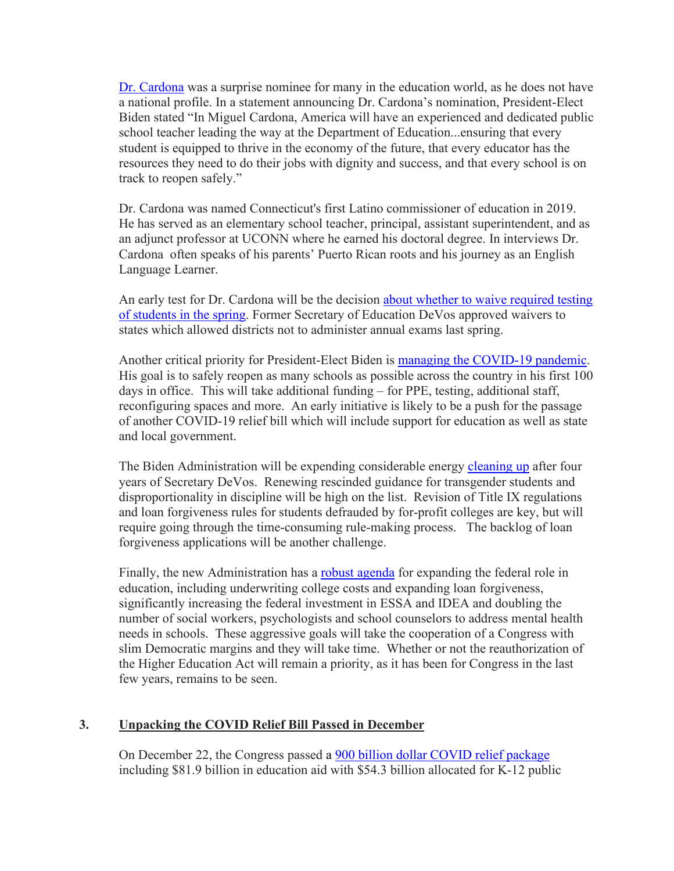[Dr. Cardona](https://www.nytimes.com/2020/12/22/us/politics/biden-education-secretary.html?auth=login-email&login=email) was a surprise nominee for many in the education world, as he does not have a national profile. In a statement announcing Dr. Cardona's nomination, President-Elect Biden stated "In Miguel Cardona, America will have an experienced and dedicated public school teacher leading the way at the Department of Education...ensuring that every student is equipped to thrive in the economy of the future, that every educator has the resources they need to do their jobs with dignity and success, and that every school is on track to reopen safely."

Dr. Cardona was named Connecticut's first Latino commissioner of education in 2019. He has served as an elementary school teacher, principal, assistant superintendent, and as an adjunct professor at UCONN where he earned his doctoral degree. In interviews Dr. Cardona often speaks of his parents' Puerto Rican roots and his journey as an English Language Learner.

An early test for Dr. Cardona will be the decision about whether to waive required testing [of students in the spring.](https://www.washingtonpost.com/education/2020/12/30/calls-are-growing-biden-do-what-devos-did-let-states-skip-annual-standardized-tests-this-spring/) Former Secretary of Education DeVos approved waivers to states which allowed districts not to administer annual exams last spring.

Another critical priority for President-Elect Biden is [managing the COVID-19 pandemic.](https://buildbackbetter.gov/priorities/covid-19/) His goal is to safely reopen as many schools as possible across the country in his first 100 days in office. This will take additional funding – for PPE, testing, additional staff, reconfiguring spaces and more. An early initiative is likely to be a push for the passage of another COVID-19 relief bill which will include support for education as well as state and local government.

The Biden Administration will be expending considerable energy [cleaning up](https://www.nytimes.com/2020/11/13/us/politics/biden-education-devos.html) after four years of Secretary DeVos. Renewing rescinded guidance for transgender students and disproportionality in discipline will be high on the list. Revision of Title IX regulations and loan forgiveness rules for students defrauded by for-profit colleges are key, but will require going through the time-consuming rule-making process. The backlog of loan forgiveness applications will be another challenge.

Finally, the new Administration has a [robust agenda](https://joebiden.com/education/) for expanding the federal role in education, including underwriting college costs and expanding loan forgiveness, significantly increasing the federal investment in ESSA and IDEA and doubling the number of social workers, psychologists and school counselors to address mental health needs in schools. These aggressive goals will take the cooperation of a Congress with slim Democratic margins and they will take time. Whether or not the reauthorization of the Higher Education Act will remain a priority, as it has been for Congress in the last few years, remains to be seen.

### **3. Unpacking the COVID Relief Bill Passed in December**

On December 22, the Congress passed a [900 billion dollar COVID relief package](https://learningpolicyinstitute.org/blog/covid-second-round-federal-relief) including \$81.9 billion in education aid with \$54.3 billion allocated for K-12 public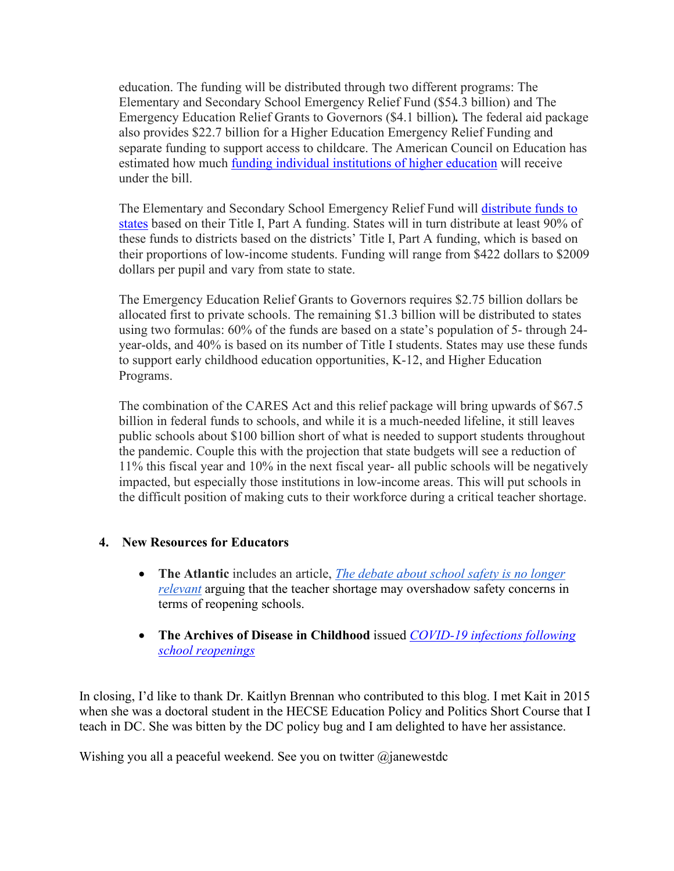education. The funding will be distributed through two different programs: The Elementary and Secondary School Emergency Relief Fund (\$54.3 billion) and The Emergency Education Relief Grants to Governors (\$4.1 billion)*.* The federal aid package also provides \$22.7 billion for a Higher Education Emergency Relief Funding and separate funding to support access to childcare. The American Council on Education has estimated how much [funding individual institutions of higher education](https://www.acenet.edu/News-Room/Pages/Coronavirus-Response-and-Relief-Supplemental-Appropriations-Act-of-2021-Simulated-Distribution-of-Funds-to-Higher-Education.aspx) will receive under the bill.

The Elementary and Secondary School Emergency Relief Fund will [distribute funds to](https://learningpolicyinstitute.org/sites/default/files/product-files/ESSERF-State-Funding_TABLE.pdf)  [states](https://learningpolicyinstitute.org/sites/default/files/product-files/ESSERF-State-Funding_TABLE.pdf) based on their Title I, Part A funding. States will in turn distribute at least 90% of these funds to districts based on the districts' Title I, Part A funding, which is based on their proportions of low-income students. Funding will range from \$422 dollars to \$2009 dollars per pupil and vary from state to state.

The Emergency Education Relief Grants to Governors requires \$2.75 billion dollars be allocated first to private schools. The remaining \$1.3 billion will be distributed to states using two formulas: 60% of the funds are based on a state's population of 5- through 24 year-olds, and 40% is based on its number of Title I students. States may use these funds to support early childhood education opportunities, K-12, and Higher Education Programs.

The combination of the CARES Act and this relief package will bring upwards of \$67.5 billion in federal funds to schools, and while it is a much-needed lifeline, it still leaves public schools about \$100 billion short of what is needed to support students throughout the pandemic. Couple this with the projection that state budgets will see a reduction of 11% this fiscal year and 10% in the next fiscal year- all public schools will be negatively impacted, but especially those institutions in low-income areas. This will put schools in the difficult position of making cuts to their workforce during a critical teacher shortage.

# **4. New Resources for Educators**

- **The Atlantic** includes an article, *[The debate about school safety is no longer](https://www.theatlantic.com/ideas/archive/2021/01/schools-staff-shortages/617465/)  [relevant](https://www.theatlantic.com/ideas/archive/2021/01/schools-staff-shortages/617465/)* arguing that the teacher shortage may overshadow safety concerns in terms of reopening schools.
- **The Archives of Disease in Childhood** issued *[COVID-19 infections following](https://adc.bmj.com/content/archdischild/early/2020/12/06/archdischild-2020-321018.full.pdf?source=email)  [school reopenings](https://adc.bmj.com/content/archdischild/early/2020/12/06/archdischild-2020-321018.full.pdf?source=email)*

In closing, I'd like to thank Dr. Kaitlyn Brennan who contributed to this blog. I met Kait in 2015 when she was a doctoral student in the HECSE Education Policy and Politics Short Course that I teach in DC. She was bitten by the DC policy bug and I am delighted to have her assistance.

Wishing you all a peaceful weekend. See you on twitter @janewestdc